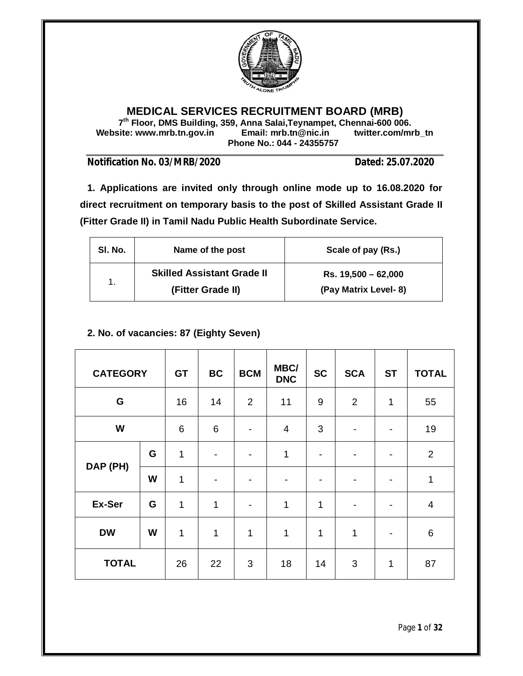

## **MEDICAL SERVICES RECRUITMENT BOARD (MRB)**

**7 th Floor, DMS Building, 359, Anna Salai,Teynampet, Chennai-600 006. Website: www.mrb.tn.gov.in Email: mrb.tn@nic.in twitter.com/mrb\_tn Phone No.: 044 - 24355757**

**Notification No. 03/MRB/2020 Dated: 25.07.2020**

**1. Applications are invited only through online mode up to 16.08.2020 for direct recruitment on temporary basis to the post of Skilled Assistant Grade II (Fitter Grade II) in Tamil Nadu Public Health Subordinate Service.**

| SI. No.       | Name of the post                                       | Scale of pay (Rs.)                          |
|---------------|--------------------------------------------------------|---------------------------------------------|
| $\mathbf 1$ . | <b>Skilled Assistant Grade II</b><br>(Fitter Grade II) | Rs. 19,500 - 62,000<br>(Pay Matrix Level-8) |

## **2. No. of vacancies: 87 (Eighty Seven)**

| <b>CATEGORY</b> |   | <b>GT</b> | <b>BC</b>       | <b>BCM</b>     | MBC/<br><b>DNC</b> | <b>SC</b>   | <b>SCA</b>     | <b>ST</b> | <b>TOTAL</b>   |
|-----------------|---|-----------|-----------------|----------------|--------------------|-------------|----------------|-----------|----------------|
| G               |   | 16        | 14              | $\overline{2}$ | 11                 | 9           | 2              | 1         | 55             |
| W               |   | 6         | $6\phantom{1}6$ | ۰              | 4                  | 3           |                |           | 19             |
| DAP (PH)        | G | 1         |                 | $\blacksquare$ | 1                  |             | ۰              |           | $\overline{2}$ |
|                 | W | 1         |                 | ۰              |                    |             |                |           | $\mathbf 1$    |
| Ex-Ser          | G | 1         | 1               | $\blacksquare$ | 1                  | 1           | $\blacksquare$ |           | 4              |
| <b>DW</b>       | W | 1         | 1               | 1              | 1                  | $\mathbf 1$ | 1              |           | $\,6$          |
| <b>TOTAL</b>    |   | 26        | 22              | 3              | 18                 | 14          | 3              | 1         | 87             |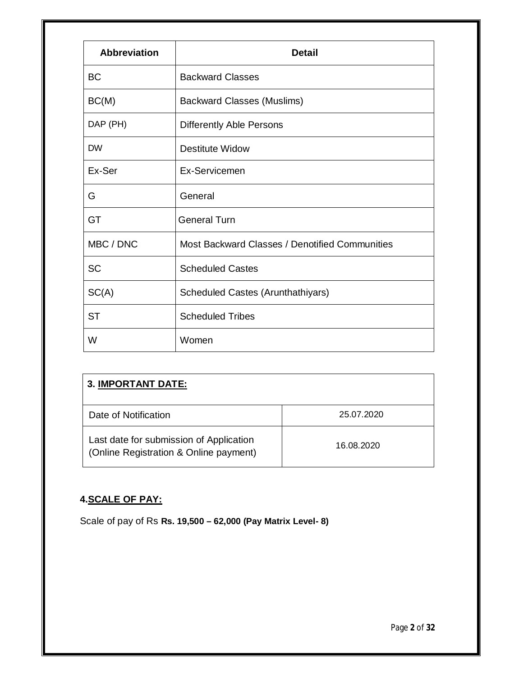| <b>Abbreviation</b> | <b>Detail</b>                                  |  |
|---------------------|------------------------------------------------|--|
| <b>BC</b>           | <b>Backward Classes</b>                        |  |
| BC(M)               | <b>Backward Classes (Muslims)</b>              |  |
| DAP (PH)            | <b>Differently Able Persons</b>                |  |
| <b>DW</b>           | <b>Destitute Widow</b>                         |  |
| Ex-Ser              | Ex-Servicemen                                  |  |
| G                   | General                                        |  |
| <b>GT</b>           | <b>General Turn</b>                            |  |
| MBC / DNC           | Most Backward Classes / Denotified Communities |  |
| <b>SC</b>           | <b>Scheduled Castes</b>                        |  |
| SC(A)               | Scheduled Castes (Arunthathiyars)              |  |
| <b>ST</b>           | <b>Scheduled Tribes</b>                        |  |
| W                   | Women                                          |  |

| <b>3. IMPORTANT DATE:</b>                                                         |            |  |  |  |
|-----------------------------------------------------------------------------------|------------|--|--|--|
| Date of Notification                                                              | 25.07.2020 |  |  |  |
| Last date for submission of Application<br>(Online Registration & Online payment) | 16.08.2020 |  |  |  |

## **4.SCALE OF PAY:**

Scale of pay of Rs **Rs. 19,500 – 62,000 (Pay Matrix Level- 8)**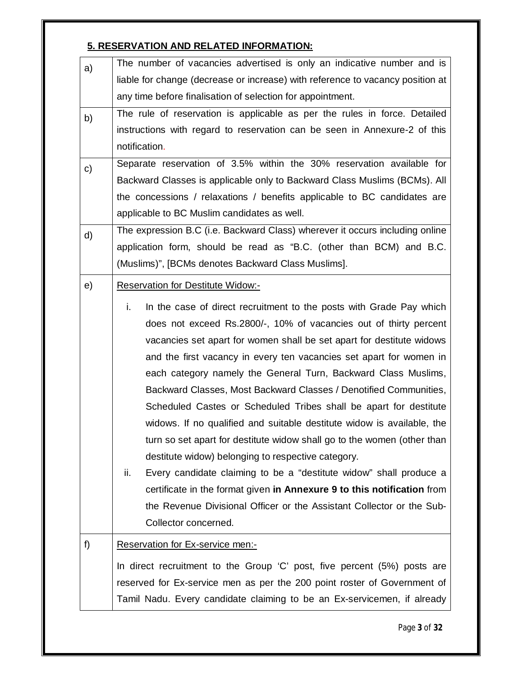## **5. RESERVATION AND RELATED INFORMATION:**

| a)<br>liable for change (decrease or increase) with reference to vacancy position at<br>any time before finalisation of selection for appointment.<br>b)<br>instructions with regard to reservation can be seen in Annexure-2 of this<br>notification.<br>$\mathsf{c})$<br>the concessions / relaxations / benefits applicable to BC candidates are |                                                                           |  |  |  |
|-----------------------------------------------------------------------------------------------------------------------------------------------------------------------------------------------------------------------------------------------------------------------------------------------------------------------------------------------------|---------------------------------------------------------------------------|--|--|--|
|                                                                                                                                                                                                                                                                                                                                                     |                                                                           |  |  |  |
|                                                                                                                                                                                                                                                                                                                                                     |                                                                           |  |  |  |
|                                                                                                                                                                                                                                                                                                                                                     | The rule of reservation is applicable as per the rules in force. Detailed |  |  |  |
|                                                                                                                                                                                                                                                                                                                                                     |                                                                           |  |  |  |
|                                                                                                                                                                                                                                                                                                                                                     |                                                                           |  |  |  |
|                                                                                                                                                                                                                                                                                                                                                     | Separate reservation of 3.5% within the 30% reservation available for     |  |  |  |
|                                                                                                                                                                                                                                                                                                                                                     | Backward Classes is applicable only to Backward Class Muslims (BCMs). All |  |  |  |
|                                                                                                                                                                                                                                                                                                                                                     |                                                                           |  |  |  |
| applicable to BC Muslim candidates as well.                                                                                                                                                                                                                                                                                                         |                                                                           |  |  |  |
| The expression B.C (i.e. Backward Class) wherever it occurs including online<br>d)                                                                                                                                                                                                                                                                  |                                                                           |  |  |  |
| application form, should be read as "B.C. (other than BCM) and B.C.                                                                                                                                                                                                                                                                                 |                                                                           |  |  |  |
| (Muslims)", [BCMs denotes Backward Class Muslims].                                                                                                                                                                                                                                                                                                  |                                                                           |  |  |  |
| <b>Reservation for Destitute Widow:-</b><br>e)                                                                                                                                                                                                                                                                                                      |                                                                           |  |  |  |
| i.<br>In the case of direct recruitment to the posts with Grade Pay which                                                                                                                                                                                                                                                                           |                                                                           |  |  |  |
|                                                                                                                                                                                                                                                                                                                                                     |                                                                           |  |  |  |
|                                                                                                                                                                                                                                                                                                                                                     | does not exceed Rs.2800/-, 10% of vacancies out of thirty percent         |  |  |  |
| vacancies set apart for women shall be set apart for destitute widows                                                                                                                                                                                                                                                                               |                                                                           |  |  |  |
| and the first vacancy in every ten vacancies set apart for women in                                                                                                                                                                                                                                                                                 |                                                                           |  |  |  |
|                                                                                                                                                                                                                                                                                                                                                     | each category namely the General Turn, Backward Class Muslims,            |  |  |  |
|                                                                                                                                                                                                                                                                                                                                                     | Backward Classes, Most Backward Classes / Denotified Communities,         |  |  |  |
| Scheduled Castes or Scheduled Tribes shall be apart for destitute                                                                                                                                                                                                                                                                                   |                                                                           |  |  |  |
| widows. If no qualified and suitable destitute widow is available, the                                                                                                                                                                                                                                                                              |                                                                           |  |  |  |
| turn so set apart for destitute widow shall go to the women (other than                                                                                                                                                                                                                                                                             |                                                                           |  |  |  |
| destitute widow) belonging to respective category.                                                                                                                                                                                                                                                                                                  |                                                                           |  |  |  |
| Every candidate claiming to be a "destitute widow" shall produce a<br>ii.                                                                                                                                                                                                                                                                           |                                                                           |  |  |  |
| certificate in the format given in Annexure 9 to this notification from                                                                                                                                                                                                                                                                             |                                                                           |  |  |  |
| the Revenue Divisional Officer or the Assistant Collector or the Sub-                                                                                                                                                                                                                                                                               |                                                                           |  |  |  |
| Collector concerned.                                                                                                                                                                                                                                                                                                                                |                                                                           |  |  |  |
| f)<br>Reservation for Ex-service men:-                                                                                                                                                                                                                                                                                                              |                                                                           |  |  |  |
| In direct recruitment to the Group 'C' post, five percent (5%) posts are                                                                                                                                                                                                                                                                            |                                                                           |  |  |  |
|                                                                                                                                                                                                                                                                                                                                                     | reserved for Ex-service men as per the 200 point roster of Government of  |  |  |  |
| Tamil Nadu. Every candidate claiming to be an Ex-servicemen, if already                                                                                                                                                                                                                                                                             |                                                                           |  |  |  |

Page **3** of **32**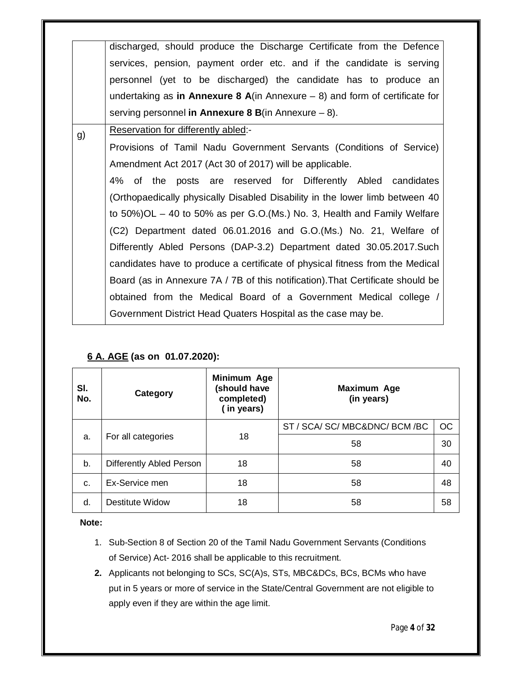|    | discharged, should produce the Discharge Certificate from the Defence            |
|----|----------------------------------------------------------------------------------|
|    | services, pension, payment order etc. and if the candidate is serving            |
|    | personnel (yet to be discharged) the candidate has to produce an                 |
|    | undertaking as in Annexure 8 A(in Annexure $-$ 8) and form of certificate for    |
|    | serving personnel in Annexure 8 B(in Annexure $-8$ ).                            |
| g) | Reservation for differently abled:-                                              |
|    | Provisions of Tamil Nadu Government Servants (Conditions of Service)             |
|    | Amendment Act 2017 (Act 30 of 2017) will be applicable.                          |
|    | 4% of the posts are reserved for Differently Abled candidates                    |
|    | (Orthopaedically physically Disabled Disability in the lower limb between 40     |
|    | to $50\%$ )OL $-$ 40 to $50\%$ as per G.O.(Ms.) No. 3, Health and Family Welfare |
|    | (C2) Department dated 06.01.2016 and G.O. (Ms.) No. 21, Welfare of               |
|    | Differently Abled Persons (DAP-3.2) Department dated 30.05.2017. Such            |
|    | candidates have to produce a certificate of physical fitness from the Medical    |
|    | Board (as in Annexure 7A / 7B of this notification). That Certificate should be  |
|    | obtained from the Medical Board of a Government Medical college /                |
|    | Government District Head Quaters Hospital as the case may be.                    |
|    |                                                                                  |

## **6 A. AGE (as on 01.07.2020):**

| SI.<br>No. | <b>Category</b>          | Minimum Age<br>(should have<br>completed)<br>(in years) | <b>Maximum Age</b><br>(in years) |    |
|------------|--------------------------|---------------------------------------------------------|----------------------------------|----|
|            |                          | 18                                                      | ST / SCA/ SC/ MBC&DNC/ BCM /BC   | OC |
| a.         | For all categories       |                                                         | 58                               | 30 |
| b.         | Differently Abled Person | 18                                                      | 58                               | 40 |
| C.         | Ex-Service men           | 18                                                      | 58                               | 48 |
| d.         | Destitute Widow          | 18                                                      | 58                               | 58 |

**Note:**

- 1. Sub-Section 8 of Section 20 of the Tamil Nadu Government Servants (Conditions of Service) Act- 2016 shall be applicable to this recruitment.
- **2.** Applicants not belonging to SCs, SC(A)s, STs, MBC&DCs, BCs, BCMs who have put in 5 years or more of service in the State/Central Government are not eligible to apply even if they are within the age limit.

Page **4** of **32**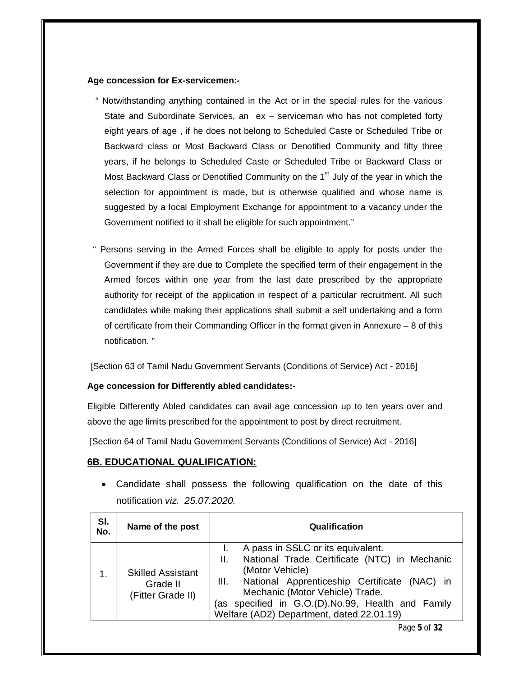#### **Age concession for Ex-servicemen:-**

- " Notwithstanding anything contained in the Act or in the special rules for the various State and Subordinate Services, an ex – serviceman who has not completed forty eight years of age , if he does not belong to Scheduled Caste or Scheduled Tribe or Backward class or Most Backward Class or Denotified Community and fifty three years, if he belongs to Scheduled Caste or Scheduled Tribe or Backward Class or Most Backward Class or Denotified Community on the 1<sup>st</sup> July of the year in which the selection for appointment is made, but is otherwise qualified and whose name is suggested by a local Employment Exchange for appointment to a vacancy under the Government notified to it shall be eligible for such appointment."
- " Persons serving in the Armed Forces shall be eligible to apply for posts under the Government if they are due to Complete the specified term of their engagement in the Armed forces within one year from the last date prescribed by the appropriate authority for receipt of the application in respect of a particular recruitment. All such candidates while making their applications shall submit a self undertaking and a form of certificate from their Commanding Officer in the format given in Annexure – 8 of this notification. "

[Section 63 of Tamil Nadu Government Servants (Conditions of Service) Act - 2016]

#### **Age concession for Differently abled candidates:-**

Eligible Differently Abled candidates can avail age concession up to ten years over and above the age limits prescribed for the appointment to post by direct recruitment.

[Section 64 of Tamil Nadu Government Servants (Conditions of Service) Act - 2016]

#### **6B. EDUCATIONAL QUALIFICATION:**

 Candidate shall possess the following qualification on the date of this notification *viz. 25.07.2020.*

| SI.<br>No. | Name of the post                                          | Qualification                                                                                                                                                                                                                                                                                            |
|------------|-----------------------------------------------------------|----------------------------------------------------------------------------------------------------------------------------------------------------------------------------------------------------------------------------------------------------------------------------------------------------------|
|            | <b>Skilled Assistant</b><br>Grade II<br>(Fitter Grade II) | A pass in SSLC or its equivalent.<br>National Trade Certificate (NTC) in Mechanic<br>ΙΙ.<br>(Motor Vehicle)<br>National Apprenticeship Certificate (NAC) in<br>III.<br>Mechanic (Motor Vehicle) Trade.<br>(as specified in G.O.(D).No.99, Health and Family<br>Welfare (AD2) Department, dated 22.01.19) |
|            |                                                           | Page 5 of 32                                                                                                                                                                                                                                                                                             |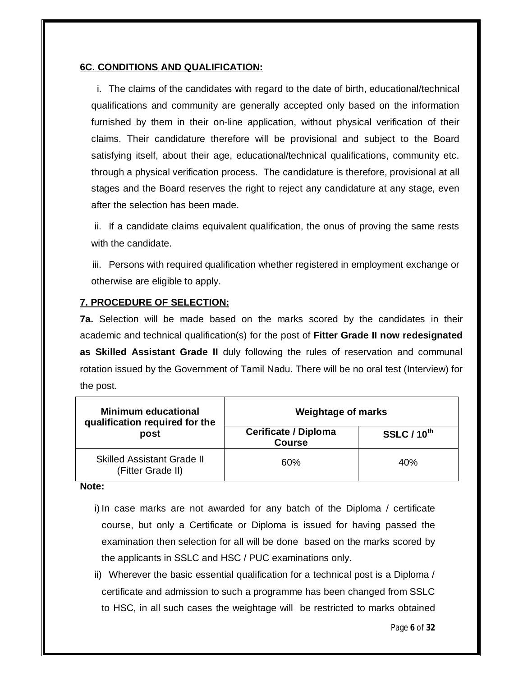## **6C. CONDITIONS AND QUALIFICATION:**

i. The claims of the candidates with regard to the date of birth, educational/technical qualifications and community are generally accepted only based on the information furnished by them in their on-line application, without physical verification of their claims. Their candidature therefore will be provisional and subject to the Board satisfying itself, about their age, educational/technical qualifications, community etc. through a physical verification process. The candidature is therefore, provisional at all stages and the Board reserves the right to reject any candidature at any stage, even after the selection has been made.

ii. If a candidate claims equivalent qualification, the onus of proving the same rests with the candidate.

iii. Persons with required qualification whether registered in employment exchange or otherwise are eligible to apply.

## **7. PROCEDURE OF SELECTION:**

**7a.** Selection will be made based on the marks scored by the candidates in their academic and technical qualification(s) for the post of **Fitter Grade II now redesignated as Skilled Assistant Grade II** duly following the rules of reservation and communal rotation issued by the Government of Tamil Nadu. There will be no oral test (Interview) for the post.

| <b>Minimum educational</b><br>qualification required for the | <b>Weightage of marks</b>                    |                    |  |
|--------------------------------------------------------------|----------------------------------------------|--------------------|--|
| post                                                         | <b>Cerificate / Diploma</b><br><b>Course</b> | <b>SSLC / 10th</b> |  |
| <b>Skilled Assistant Grade II</b><br>(Fitter Grade II)       | 60%                                          | 40%                |  |

**Note:**

- i) In case marks are not awarded for any batch of the Diploma / certificate course, but only a Certificate or Diploma is issued for having passed the examination then selection for all will be done based on the marks scored by the applicants in SSLC and HSC / PUC examinations only.
- ii) Wherever the basic essential qualification for a technical post is a Diploma / certificate and admission to such a programme has been changed from SSLC to HSC, in all such cases the weightage will be restricted to marks obtained

Page **6** of **32**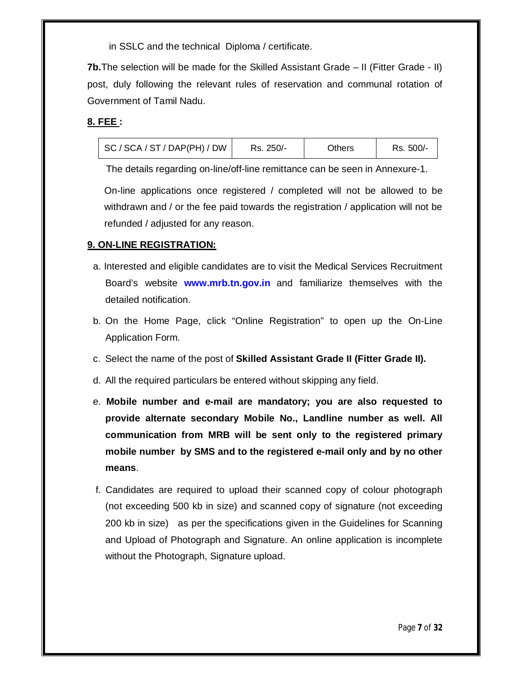in SSLC and the technical Diploma / certificate.

**7b.**The selection will be made for the Skilled Assistant Grade – II (Fitter Grade - II) post, duly following the relevant rules of reservation and communal rotation of Government of Tamil Nadu.

## **8. FEE :**

| SC / SCA / ST / DAP(PH) / DW | Rs. 250/- | Others | Rs. 500/- |
|------------------------------|-----------|--------|-----------|
|------------------------------|-----------|--------|-----------|

The details regarding on-line/off-line remittance can be seen in Annexure-1.

On-line applications once registered / completed will not be allowed to be withdrawn and / or the fee paid towards the registration / application will not be refunded / adjusted for any reason.

## **9. ON-LINE REGISTRATION:**

- a. Interested and eligible candidates are to visit the Medical Services Recruitment Board's website **www.mrb.tn.gov.in** and familiarize themselves with the detailed notification.
- b. On the Home Page, click "Online Registration" to open up the On-Line Application Form.
- c. Select the name of the post of **Skilled Assistant Grade II (Fitter Grade II).**
- d. All the required particulars be entered without skipping any field.
- e. **Mobile number and e-mail are mandatory; you are also requested to provide alternate secondary Mobile No., Landline number as well. All communication from MRB will be sent only to the registered primary mobile number by SMS and to the registered e-mail only and by no other means**.
- f. Candidates are required to upload their scanned copy of colour photograph (not exceeding 500 kb in size) and scanned copy of signature (not exceeding 200 kb in size) as per the specifications given in the Guidelines for Scanning and Upload of Photograph and Signature. An online application is incomplete without the Photograph, Signature upload.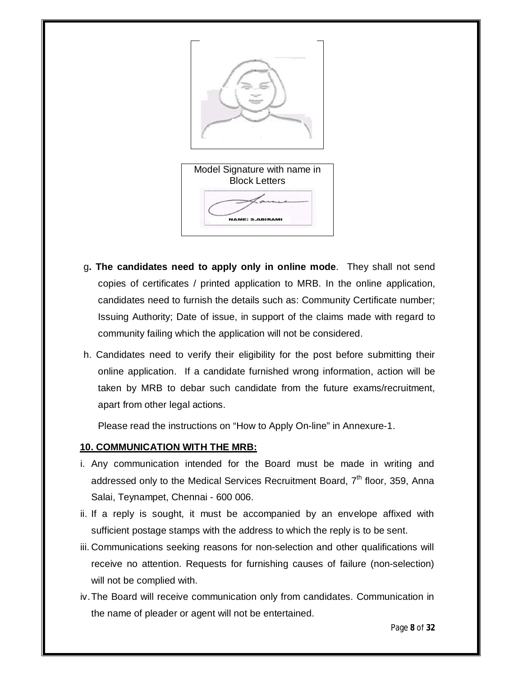

- g**. The candidates need to apply only in online mode**. They shall not send copies of certificates / printed application to MRB. In the online application, candidates need to furnish the details such as: Community Certificate number; Issuing Authority; Date of issue, in support of the claims made with regard to community failing which the application will not be considered.
- h. Candidates need to verify their eligibility for the post before submitting their online application. If a candidate furnished wrong information, action will be taken by MRB to debar such candidate from the future exams/recruitment, apart from other legal actions.

Please read the instructions on "How to Apply On-line" in Annexure-1.

## **10. COMMUNICATION WITH THE MRB:**

- i. Any communication intended for the Board must be made in writing and addressed only to the Medical Services Recruitment Board, 7<sup>th</sup> floor, 359, Anna Salai, Teynampet, Chennai - 600 006.
- ii. If a reply is sought, it must be accompanied by an envelope affixed with sufficient postage stamps with the address to which the reply is to be sent.
- iii. Communications seeking reasons for non-selection and other qualifications will receive no attention. Requests for furnishing causes of failure (non-selection) will not be complied with.
- iv.The Board will receive communication only from candidates. Communication in the name of pleader or agent will not be entertained.

Page **8** of **32**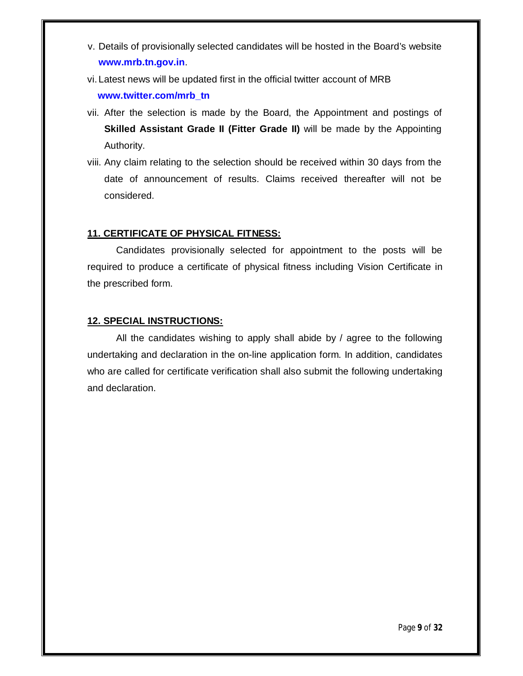- v. Details of provisionally selected candidates will be hosted in the Board's website **www.mrb.tn.gov.in**.
- vi. Latest news will be updated first in the official twitter account of MRB **www.twitter.com/mrb\_tn**
- vii. After the selection is made by the Board, the Appointment and postings of **Skilled Assistant Grade II (Fitter Grade II)** will be made by the Appointing Authority.
- viii. Any claim relating to the selection should be received within 30 days from the date of announcement of results. Claims received thereafter will not be considered.

## **11. CERTIFICATE OF PHYSICAL FITNESS:**

Candidates provisionally selected for appointment to the posts will be required to produce a certificate of physical fitness including Vision Certificate in the prescribed form.

## **12. SPECIAL INSTRUCTIONS:**

All the candidates wishing to apply shall abide by / agree to the following undertaking and declaration in the on-line application form. In addition, candidates who are called for certificate verification shall also submit the following undertaking and declaration.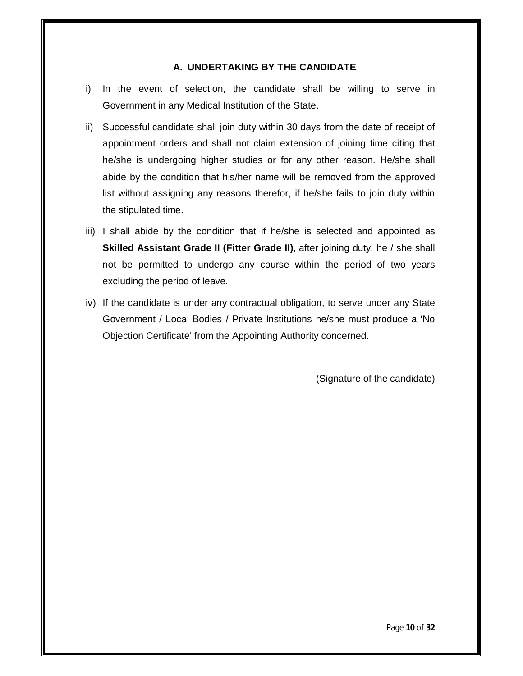## **A. UNDERTAKING BY THE CANDIDATE**

- i) In the event of selection, the candidate shall be willing to serve in Government in any Medical Institution of the State.
- ii) Successful candidate shall join duty within 30 days from the date of receipt of appointment orders and shall not claim extension of joining time citing that he/she is undergoing higher studies or for any other reason. He/she shall abide by the condition that his/her name will be removed from the approved list without assigning any reasons therefor, if he/she fails to join duty within the stipulated time.
- iii) I shall abide by the condition that if he/she is selected and appointed as **Skilled Assistant Grade II (Fitter Grade II)**, after joining duty, he / she shall not be permitted to undergo any course within the period of two years excluding the period of leave.
- iv) If the candidate is under any contractual obligation, to serve under any State Government / Local Bodies / Private Institutions he/she must produce a 'No Objection Certificate' from the Appointing Authority concerned.

(Signature of the candidate)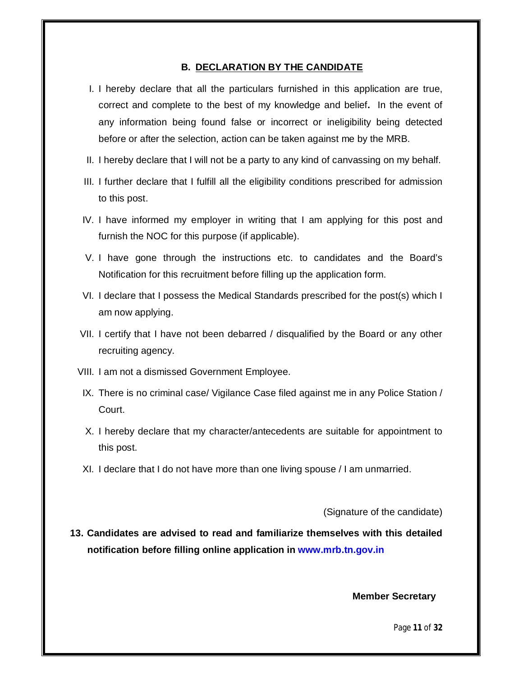#### **B. DECLARATION BY THE CANDIDATE**

- I. I hereby declare that all the particulars furnished in this application are true, correct and complete to the best of my knowledge and belief**.** In the event of any information being found false or incorrect or ineligibility being detected before or after the selection, action can be taken against me by the MRB.
- II. I hereby declare that I will not be a party to any kind of canvassing on my behalf.
- III. I further declare that I fulfill all the eligibility conditions prescribed for admission to this post.
- IV. I have informed my employer in writing that I am applying for this post and furnish the NOC for this purpose (if applicable).
- V. I have gone through the instructions etc. to candidates and the Board's Notification for this recruitment before filling up the application form.
- VI. I declare that I possess the Medical Standards prescribed for the post(s) which I am now applying.
- VII. I certify that I have not been debarred / disqualified by the Board or any other recruiting agency.
- VIII. I am not a dismissed Government Employee.
- IX. There is no criminal case/ Vigilance Case filed against me in any Police Station / Court.
- X. I hereby declare that my character/antecedents are suitable for appointment to this post.
- XI. I declare that I do not have more than one living spouse / I am unmarried.

(Signature of the candidate)

**13. Candidates are advised to read and familiarize themselves with this detailed notification before filling online application in www.mrb.tn.gov.in**

 **Member Secretary**

Page **11** of **32**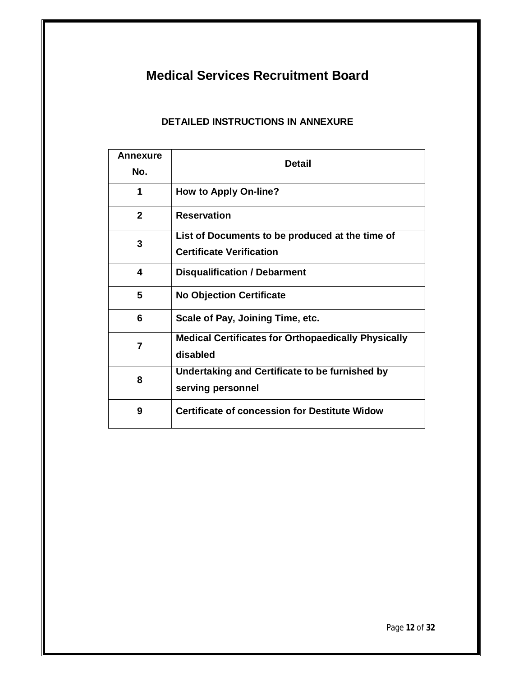# **Medical Services Recruitment Board**

## **DETAILED INSTRUCTIONS IN ANNEXURE**

| <b>Annexure</b><br>No. | <b>Detail</b>                                                                      |  |
|------------------------|------------------------------------------------------------------------------------|--|
| 1                      | <b>How to Apply On-line?</b>                                                       |  |
| $\mathbf{2}$           | <b>Reservation</b>                                                                 |  |
| 3                      | List of Documents to be produced at the time of<br><b>Certificate Verification</b> |  |
| 4                      | <b>Disqualification / Debarment</b>                                                |  |
| 5                      | <b>No Objection Certificate</b>                                                    |  |
| 6                      | Scale of Pay, Joining Time, etc.                                                   |  |
| 7                      | <b>Medical Certificates for Orthopaedically Physically</b><br>disabled             |  |
| 8                      | Undertaking and Certificate to be furnished by<br>serving personnel                |  |
| 9                      | <b>Certificate of concession for Destitute Widow</b>                               |  |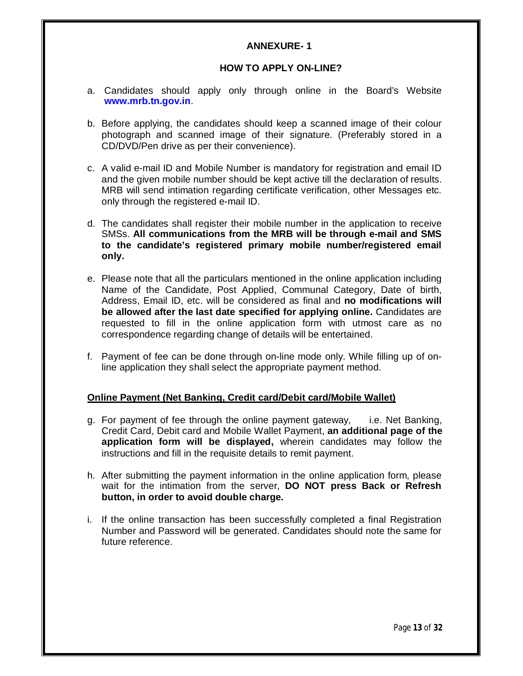## **ANNEXURE- 1**

### **HOW TO APPLY ON-LINE?**

- a. Candidates should apply only through online in the Board's Website **www.mrb.tn.gov.in**.
- b. Before applying, the candidates should keep a scanned image of their colour photograph and scanned image of their signature. (Preferably stored in a CD/DVD/Pen drive as per their convenience).
- c. A valid e-mail ID and Mobile Number is mandatory for registration and email ID and the given mobile number should be kept active till the declaration of results. MRB will send intimation regarding certificate verification, other Messages etc. only through the registered e-mail ID.
- d. The candidates shall register their mobile number in the application to receive SMSs. **All communications from the MRB will be through e-mail and SMS to the candidate's registered primary mobile number/registered email only.**
- e. Please note that all the particulars mentioned in the online application including Name of the Candidate, Post Applied, Communal Category, Date of birth, Address, Email ID, etc. will be considered as final and **no modifications will be allowed after the last date specified for applying online.** Candidates are requested to fill in the online application form with utmost care as no correspondence regarding change of details will be entertained.
- f. Payment of fee can be done through on-line mode only. While filling up of online application they shall select the appropriate payment method.

## **Online Payment (Net Banking, Credit card/Debit card/Mobile Wallet)**

- g. For payment of fee through the online payment gateway, i.e. Net Banking, Credit Card, Debit card and Mobile Wallet Payment, **an additional page of the application form will be displayed,** wherein candidates may follow the instructions and fill in the requisite details to remit payment.
- h. After submitting the payment information in the online application form, please wait for the intimation from the server, **DO NOT press Back or Refresh button, in order to avoid double charge.**
- i. If the online transaction has been successfully completed a final Registration Number and Password will be generated. Candidates should note the same for future reference.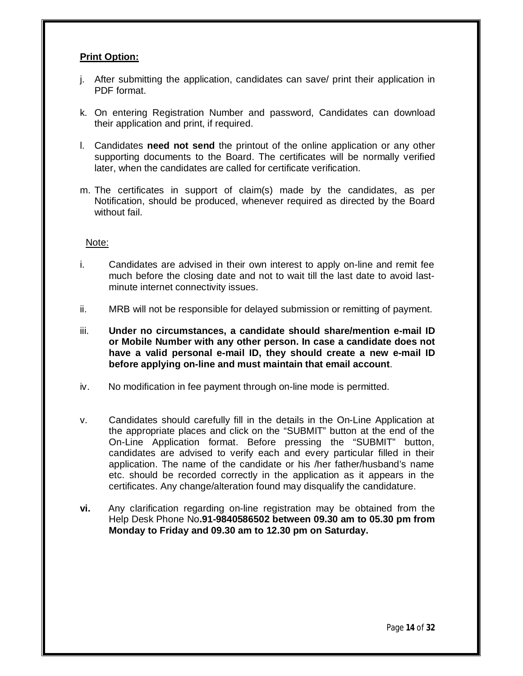## **Print Option:**

- j. After submitting the application, candidates can save/ print their application in PDF format.
- k. On entering Registration Number and password, Candidates can download their application and print, if required.
- l. Candidates **need not send** the printout of the online application or any other supporting documents to the Board. The certificates will be normally verified later, when the candidates are called for certificate verification.
- m. The certificates in support of claim(s) made by the candidates, as per Notification, should be produced, whenever required as directed by the Board without fail.

#### Note:

- i. Candidates are advised in their own interest to apply on-line and remit fee much before the closing date and not to wait till the last date to avoid lastminute internet connectivity issues.
- ii. MRB will not be responsible for delayed submission or remitting of payment.
- iii. **Under no circumstances, a candidate should share/mention e-mail ID or Mobile Number with any other person. In case a candidate does not have a valid personal e-mail ID, they should create a new e-mail ID before applying on-line and must maintain that email account**.
- iv. No modification in fee payment through on-line mode is permitted.
- v. Candidates should carefully fill in the details in the On-Line Application at the appropriate places and click on the "SUBMIT" button at the end of the On-Line Application format. Before pressing the "SUBMIT" button, candidates are advised to verify each and every particular filled in their application. The name of the candidate or his /her father/husband's name etc. should be recorded correctly in the application as it appears in the certificates. Any change/alteration found may disqualify the candidature.
- **vi.** Any clarification regarding on-line registration may be obtained from the Help Desk Phone No**.91-9840586502 between 09.30 am to 05.30 pm from Monday to Friday and 09.30 am to 12.30 pm on Saturday.**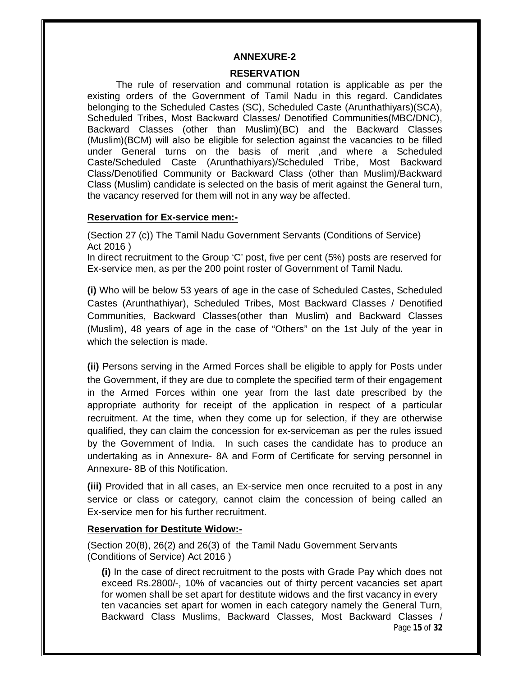#### **ANNEXURE-2**

#### **RESERVATION**

The rule of reservation and communal rotation is applicable as per the existing orders of the Government of Tamil Nadu in this regard. Candidates belonging to the Scheduled Castes (SC), Scheduled Caste (Arunthathiyars)(SCA), Scheduled Tribes, Most Backward Classes/ Denotified Communities(MBC/DNC), Backward Classes (other than Muslim)(BC) and the Backward Classes (Muslim)(BCM) will also be eligible for selection against the vacancies to be filled under General turns on the basis of merit ,and where a Scheduled Caste/Scheduled Caste (Arunthathiyars)/Scheduled Tribe, Most Backward Class/Denotified Community or Backward Class (other than Muslim)/Backward Class (Muslim) candidate is selected on the basis of merit against the General turn, the vacancy reserved for them will not in any way be affected.

#### **Reservation for Ex-service men:-**

(Section 27 (c)) The Tamil Nadu Government Servants (Conditions of Service) Act 2016 )

In direct recruitment to the Group 'C' post, five per cent (5%) posts are reserved for Ex-service men, as per the 200 point roster of Government of Tamil Nadu.

**(i)** Who will be below 53 years of age in the case of Scheduled Castes, Scheduled Castes (Arunthathiyar), Scheduled Tribes, Most Backward Classes / Denotified Communities, Backward Classes(other than Muslim) and Backward Classes (Muslim), 48 years of age in the case of "Others" on the 1st July of the year in which the selection is made.

**(ii)** Persons serving in the Armed Forces shall be eligible to apply for Posts under the Government, if they are due to complete the specified term of their engagement in the Armed Forces within one year from the last date prescribed by the appropriate authority for receipt of the application in respect of a particular recruitment. At the time, when they come up for selection, if they are otherwise qualified, they can claim the concession for ex-serviceman as per the rules issued by the Government of India. In such cases the candidate has to produce an undertaking as in Annexure- 8A and Form of Certificate for serving personnel in Annexure- 8B of this Notification.

**(iii)** Provided that in all cases, an Ex-service men once recruited to a post in any service or class or category, cannot claim the concession of being called an Ex-service men for his further recruitment.

#### **Reservation for Destitute Widow:-**

(Section 20(8), 26(2) and 26(3) of the Tamil Nadu Government Servants (Conditions of Service) Act 2016 )

Page **15** of **32 (i)** In the case of direct recruitment to the posts with Grade Pay which does not exceed Rs.2800/-, 10% of vacancies out of thirty percent vacancies set apart for women shall be set apart for destitute widows and the first vacancy in every ten vacancies set apart for women in each category namely the General Turn, Backward Class Muslims, Backward Classes, Most Backward Classes /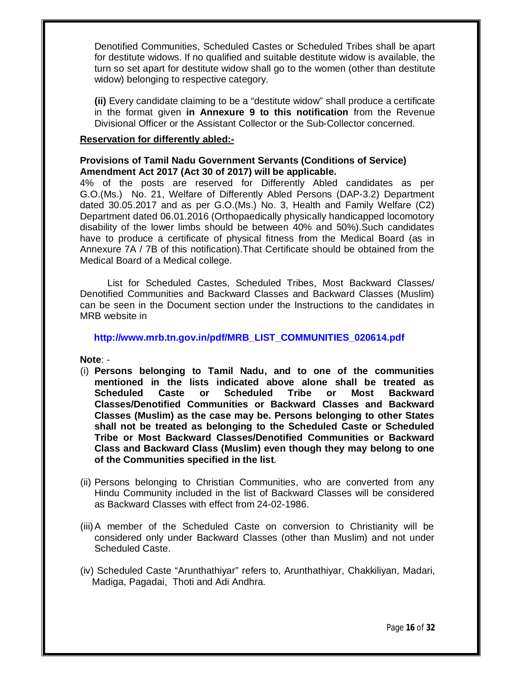Denotified Communities, Scheduled Castes or Scheduled Tribes shall be apart for destitute widows. If no qualified and suitable destitute widow is available, the turn so set apart for destitute widow shall go to the women (other than destitute widow) belonging to respective category.

**(ii)** Every candidate claiming to be a "destitute widow" shall produce a certificate in the format given **in Annexure 9 to this notification** from the Revenue Divisional Officer or the Assistant Collector or the Sub-Collector concerned.

#### **Reservation for differently abled:-**

## **Provisions of Tamil Nadu Government Servants (Conditions of Service) Amendment Act 2017 (Act 30 of 2017) will be applicable.**

4% of the posts are reserved for Differently Abled candidates as per G.O.(Ms.) No. 21, Welfare of Differently Abled Persons (DAP-3.2) Department dated 30.05.2017 and as per G.O.(Ms.) No. 3, Health and Family Welfare (C2) Department dated 06.01.2016 (Orthopaedically physically handicapped locomotory disability of the lower limbs should be between 40% and 50%).Such candidates have to produce a certificate of physical fitness from the Medical Board (as in Annexure 7A / 7B of this notification).That Certificate should be obtained from the Medical Board of a Medical college.

 List for Scheduled Castes, Scheduled Tribes, Most Backward Classes/ Denotified Communities and Backward Classes and Backward Classes (Muslim) can be seen in the Document section under the Instructions to the candidates in MRB website in

## **http://www.mrb.tn.gov.in/pdf/MRB\_LIST\_COMMUNITIES\_020614.pdf**

**Note**: -

- (i) **Persons belonging to Tamil Nadu, and to one of the communities mentioned in the lists indicated above alone shall be treated as Scheduled Caste or Scheduled Tribe or Most Backward Classes/Denotified Communities or Backward Classes and Backward Classes (Muslim) as the case may be. Persons belonging to other States shall not be treated as belonging to the Scheduled Caste or Scheduled Tribe or Most Backward Classes/Denotified Communities or Backward Class and Backward Class (Muslim) even though they may belong to one of the Communities specified in the list**.
- (ii) Persons belonging to Christian Communities, who are converted from any Hindu Community included in the list of Backward Classes will be considered as Backward Classes with effect from 24-02-1986.
- (iii)A member of the Scheduled Caste on conversion to Christianity will be considered only under Backward Classes (other than Muslim) and not under Scheduled Caste.
- (iv) Scheduled Caste "Arunthathiyar" refers to, Arunthathiyar, Chakkiliyan, Madari, Madiga, Pagadai, Thoti and Adi Andhra.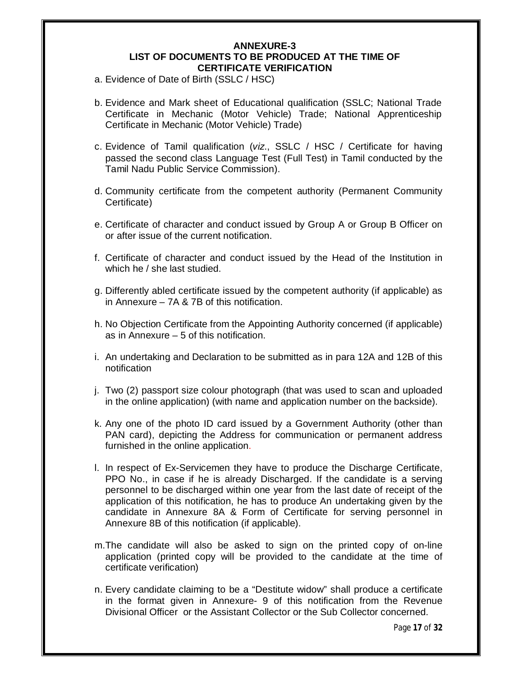#### **ANNEXURE-3 LIST OF DOCUMENTS TO BE PRODUCED AT THE TIME OF CERTIFICATE VERIFICATION**

- a. Evidence of Date of Birth (SSLC / HSC)
- b. Evidence and Mark sheet of Educational qualification (SSLC; National Trade Certificate in Mechanic (Motor Vehicle) Trade; National Apprenticeship Certificate in Mechanic (Motor Vehicle) Trade)
- c. Evidence of Tamil qualification (*viz*., SSLC / HSC / Certificate for having passed the second class Language Test (Full Test) in Tamil conducted by the Tamil Nadu Public Service Commission).
- d. Community certificate from the competent authority (Permanent Community Certificate)
- e. Certificate of character and conduct issued by Group A or Group B Officer on or after issue of the current notification.
- f. Certificate of character and conduct issued by the Head of the Institution in which he / she last studied.
- g. Differently abled certificate issued by the competent authority (if applicable) as in Annexure – 7A & 7B of this notification.
- h. No Objection Certificate from the Appointing Authority concerned (if applicable) as in Annexure – 5 of this notification.
- i. An undertaking and Declaration to be submitted as in para 12A and 12B of this notification
- j. Two (2) passport size colour photograph (that was used to scan and uploaded in the online application) (with name and application number on the backside).
- k. Any one of the photo ID card issued by a Government Authority (other than PAN card), depicting the Address for communication or permanent address furnished in the online application.
- l. In respect of Ex-Servicemen they have to produce the Discharge Certificate, PPO No., in case if he is already Discharged. If the candidate is a serving personnel to be discharged within one year from the last date of receipt of the application of this notification, he has to produce An undertaking given by the candidate in Annexure 8A & Form of Certificate for serving personnel in Annexure 8B of this notification (if applicable).
- m.The candidate will also be asked to sign on the printed copy of on-line application (printed copy will be provided to the candidate at the time of certificate verification)
- n. Every candidate claiming to be a "Destitute widow" shall produce a certificate in the format given in Annexure- 9 of this notification from the Revenue Divisional Officer or the Assistant Collector or the Sub Collector concerned.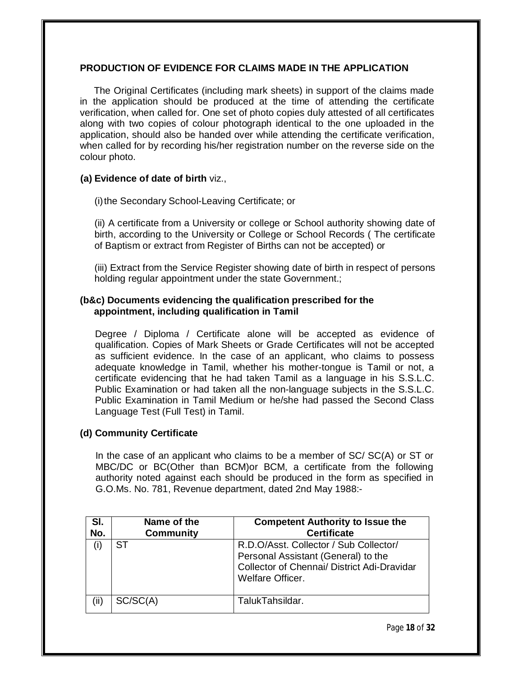## **PRODUCTION OF EVIDENCE FOR CLAIMS MADE IN THE APPLICATION**

The Original Certificates (including mark sheets) in support of the claims made in the application should be produced at the time of attending the certificate verification, when called for. One set of photo copies duly attested of all certificates along with two copies of colour photograph identical to the one uploaded in the application, should also be handed over while attending the certificate verification, when called for by recording his/her registration number on the reverse side on the colour photo.

## **(a) Evidence of date of birth** viz.,

(i)the Secondary School-Leaving Certificate; or

(ii) A certificate from a University or college or School authority showing date of birth, according to the University or College or School Records ( The certificate of Baptism or extract from Register of Births can not be accepted) or

(iii) Extract from the Service Register showing date of birth in respect of persons holding regular appointment under the state Government.;

## **(b&c) Documents evidencing the qualification prescribed for the appointment, including qualification in Tamil**

Degree / Diploma / Certificate alone will be accepted as evidence of qualification. Copies of Mark Sheets or Grade Certificates will not be accepted as sufficient evidence. In the case of an applicant, who claims to possess adequate knowledge in Tamil, whether his mother-tongue is Tamil or not, a certificate evidencing that he had taken Tamil as a language in his S.S.L.C. Public Examination or had taken all the non-language subjects in the S.S.L.C. Public Examination in Tamil Medium or he/she had passed the Second Class Language Test (Full Test) in Tamil.

## **(d) Community Certificate**

In the case of an applicant who claims to be a member of SC/ SC(A) or ST or MBC/DC or BC(Other than BCM)or BCM, a certificate from the following authority noted against each should be produced in the form as specified in G.O.Ms. No. 781, Revenue department, dated 2nd May 1988:-

| SI.  | Name of the      | <b>Competent Authority to Issue the</b>                                                                                                          |
|------|------------------|--------------------------------------------------------------------------------------------------------------------------------------------------|
| No.  | <b>Community</b> | <b>Certificate</b>                                                                                                                               |
|      | ST               | R.D.O/Asst. Collector / Sub Collector/<br>Personal Assistant (General) to the<br>Collector of Chennai/ District Adi-Dravidar<br>Welfare Officer. |
| (ii) | SC/SC(A)         | TalukTahsildar.                                                                                                                                  |

Page **18** of **32**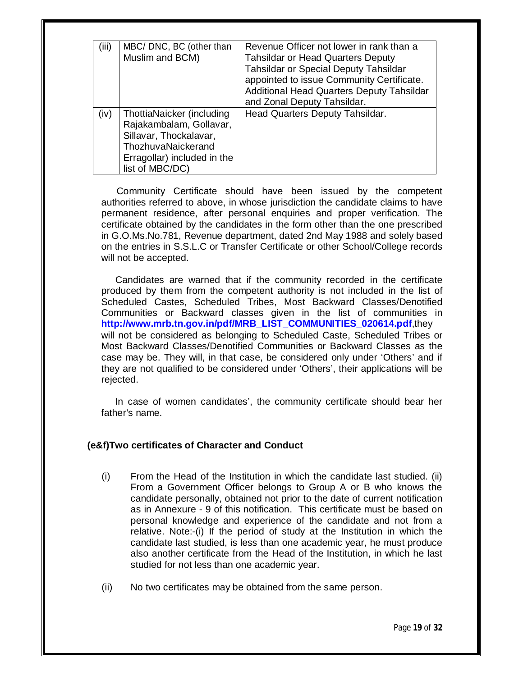| (iii) | MBC/ DNC, BC (other than    | Revenue Officer not lower in rank than a     |
|-------|-----------------------------|----------------------------------------------|
|       | Muslim and BCM)             | <b>Tahsildar or Head Quarters Deputy</b>     |
|       |                             | <b>Tahsildar or Special Deputy Tahsildar</b> |
|       |                             | appointed to issue Community Certificate.    |
|       |                             | Additional Head Quarters Deputy Tahsildar    |
|       |                             | and Zonal Deputy Tahsildar.                  |
| (iv)  | ThottiaNaicker (including   | Head Quarters Deputy Tahsildar.              |
|       | Rajakambalam, Gollavar,     |                                              |
|       | Sillavar, Thockalavar,      |                                              |
|       | ThozhuvaNaickerand          |                                              |
|       | Erragollar) included in the |                                              |
|       |                             |                                              |
|       | list of MBC/DC)             |                                              |

Community Certificate should have been issued by the competent authorities referred to above, in whose jurisdiction the candidate claims to have permanent residence, after personal enquiries and proper verification. The certificate obtained by the candidates in the form other than the one prescribed in G.O.Ms.No.781, Revenue department, dated 2nd May 1988 and solely based on the entries in S.S.L.C or Transfer Certificate or other School/College records will not be accepted.

Candidates are warned that if the community recorded in the certificate produced by them from the competent authority is not included in the list of Scheduled Castes, Scheduled Tribes, Most Backward Classes/Denotified Communities or Backward classes given in the list of communities in **http://www.mrb.tn.gov.in/pdf/MRB\_LIST\_COMMUNITIES\_020614.pdf**,they will not be considered as belonging to Scheduled Caste, Scheduled Tribes or Most Backward Classes/Denotified Communities or Backward Classes as the case may be. They will, in that case, be considered only under 'Others' and if they are not qualified to be considered under 'Others', their applications will be rejected.

In case of women candidates', the community certificate should bear her father's name.

#### **(e&f)Two certificates of Character and Conduct**

- (i) From the Head of the Institution in which the candidate last studied. (ii) From a Government Officer belongs to Group A or B who knows the candidate personally, obtained not prior to the date of current notification as in Annexure - 9 of this notification. This certificate must be based on personal knowledge and experience of the candidate and not from a relative. Note:-(i) If the period of study at the Institution in which the candidate last studied, is less than one academic year, he must produce also another certificate from the Head of the Institution, in which he last studied for not less than one academic year.
- (ii) No two certificates may be obtained from the same person.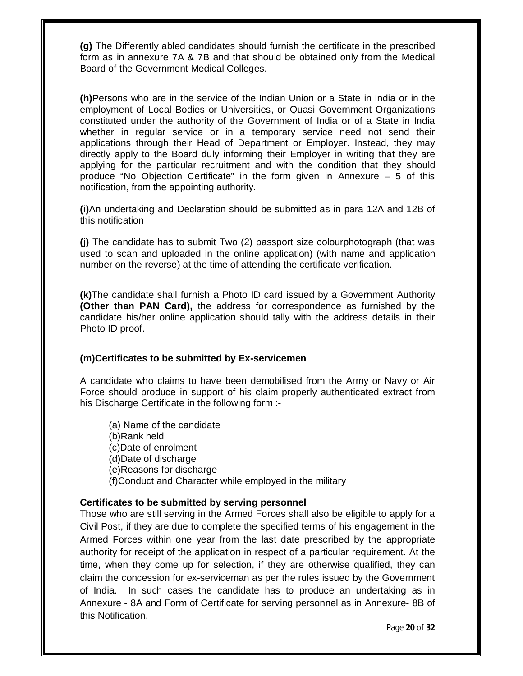**(g)** The Differently abled candidates should furnish the certificate in the prescribed form as in annexure 7A & 7B and that should be obtained only from the Medical Board of the Government Medical Colleges.

**(h)**Persons who are in the service of the Indian Union or a State in India or in the employment of Local Bodies or Universities, or Quasi Government Organizations constituted under the authority of the Government of India or of a State in India whether in regular service or in a temporary service need not send their applications through their Head of Department or Employer. Instead, they may directly apply to the Board duly informing their Employer in writing that they are applying for the particular recruitment and with the condition that they should produce "No Objection Certificate" in the form given in Annexure – 5 of this notification, from the appointing authority.

**(i)**An undertaking and Declaration should be submitted as in para 12A and 12B of this notification

**(j)** The candidate has to submit Two (2) passport size colourphotograph (that was used to scan and uploaded in the online application) (with name and application number on the reverse) at the time of attending the certificate verification.

**(k)**The candidate shall furnish a Photo ID card issued by a Government Authority **(Other than PAN Card),** the address for correspondence as furnished by the candidate his/her online application should tally with the address details in their Photo ID proof.

#### **(m)Certificates to be submitted by Ex-servicemen**

A candidate who claims to have been demobilised from the Army or Navy or Air Force should produce in support of his claim properly authenticated extract from his Discharge Certificate in the following form :-

(a) Name of the candidate (b)Rank held (c)Date of enrolment (d)Date of discharge (e)Reasons for discharge (f)Conduct and Character while employed in the military

#### **Certificates to be submitted by serving personnel**

Those who are still serving in the Armed Forces shall also be eligible to apply for a Civil Post, if they are due to complete the specified terms of his engagement in the Armed Forces within one year from the last date prescribed by the appropriate authority for receipt of the application in respect of a particular requirement. At the time, when they come up for selection, if they are otherwise qualified, they can claim the concession for ex-serviceman as per the rules issued by the Government of India. In such cases the candidate has to produce an undertaking as in Annexure - 8A and Form of Certificate for serving personnel as in Annexure- 8B of this Notification.

Page **20** of **32**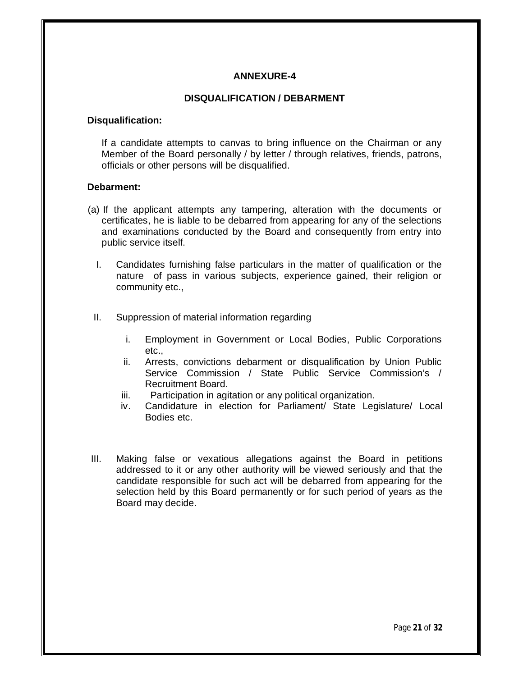## **ANNEXURE-4**

#### **DISQUALIFICATION / DEBARMENT**

#### **Disqualification:**

If a candidate attempts to canvas to bring influence on the Chairman or any Member of the Board personally / by letter / through relatives, friends, patrons, officials or other persons will be disqualified.

#### **Debarment:**

- (a) If the applicant attempts any tampering, alteration with the documents or certificates, he is liable to be debarred from appearing for any of the selections and examinations conducted by the Board and consequently from entry into public service itself.
	- I. Candidates furnishing false particulars in the matter of qualification or the nature of pass in various subjects, experience gained, their religion or community etc.,
	- II. Suppression of material information regarding
		- i. Employment in Government or Local Bodies, Public Corporations etc.,
		- ii. Arrests, convictions debarment or disqualification by Union Public Service Commission / State Public Service Commission's / Recruitment Board.
		- iii. Participation in agitation or any political organization.
		- iv. Candidature in election for Parliament/ State Legislature/ Local Bodies etc.
- III. Making false or vexatious allegations against the Board in petitions addressed to it or any other authority will be viewed seriously and that the candidate responsible for such act will be debarred from appearing for the selection held by this Board permanently or for such period of years as the Board may decide.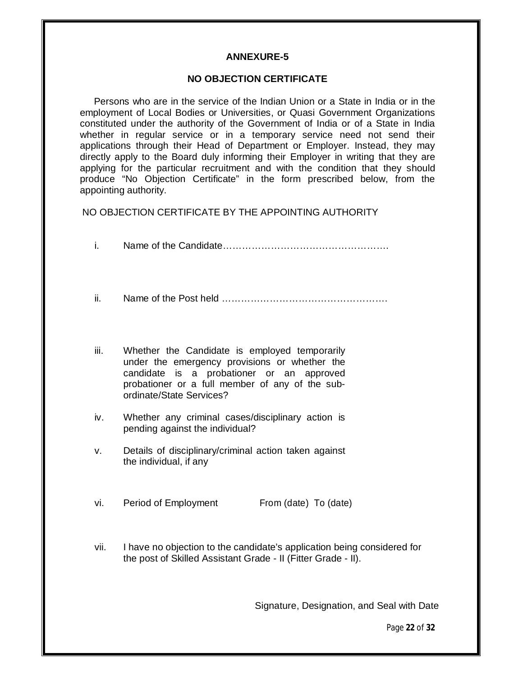## **ANNEXURE-5**

#### **NO OBJECTION CERTIFICATE**

Persons who are in the service of the Indian Union or a State in India or in the employment of Local Bodies or Universities, or Quasi Government Organizations constituted under the authority of the Government of India or of a State in India whether in regular service or in a temporary service need not send their applications through their Head of Department or Employer. Instead, they may directly apply to the Board duly informing their Employer in writing that they are applying for the particular recruitment and with the condition that they should produce "No Objection Certificate" in the form prescribed below, from the appointing authority.

NO OBJECTION CERTIFICATE BY THE APPOINTING AUTHORITY

- ii. Name of the Post held …………………………………………….
- iii. Whether the Candidate is employed temporarily under the emergency provisions or whether the candidate is a probationer or an approved probationer or a full member of any of the subordinate/State Services?
- iv. Whether any criminal cases/disciplinary action is pending against the individual?
- v. Details of disciplinary/criminal action taken against the individual, if any
- vi. Period of Employment From (date) To (date)
- vii. I have no objection to the candidate's application being considered for the post of Skilled Assistant Grade - II (Fitter Grade - II).

Signature, Designation, and Seal with Date

Page **22** of **32**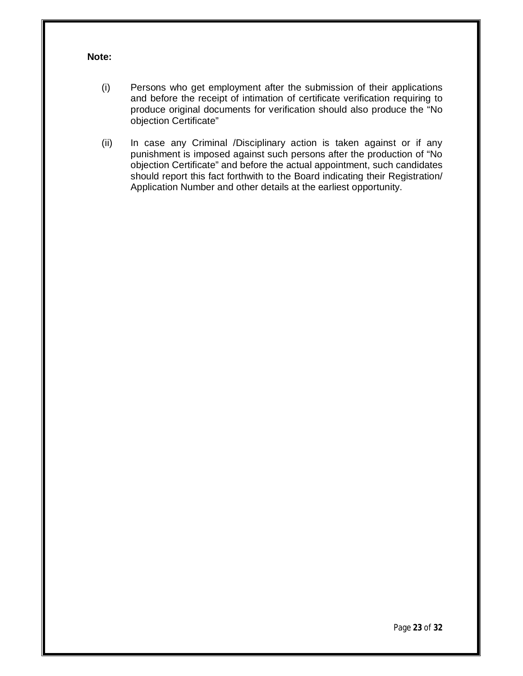## **Note:**

- (i) Persons who get employment after the submission of their applications and before the receipt of intimation of certificate verification requiring to produce original documents for verification should also produce the "No objection Certificate"
- (ii) In case any Criminal /Disciplinary action is taken against or if any punishment is imposed against such persons after the production of "No objection Certificate" and before the actual appointment, such candidates should report this fact forthwith to the Board indicating their Registration/ Application Number and other details at the earliest opportunity.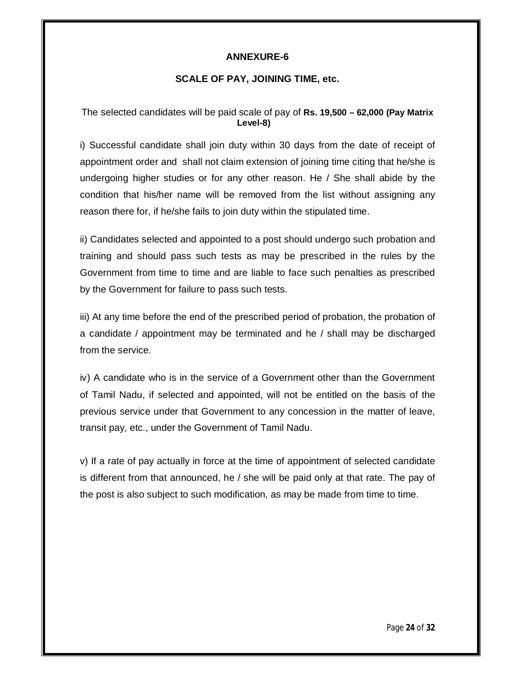## **ANNEXURE-6**

## **SCALE OF PAY, JOINING TIME, etc.**

## The selected candidates will be paid scale of pay of **Rs. 19,500 – 62,000 (Pay Matrix Level-8)**

i) Successful candidate shall join duty within 30 days from the date of receipt of appointment order and shall not claim extension of joining time citing that he/she is undergoing higher studies or for any other reason. He / She shall abide by the condition that his/her name will be removed from the list without assigning any reason there for, if he/she fails to join duty within the stipulated time.

ii) Candidates selected and appointed to a post should undergo such probation and training and should pass such tests as may be prescribed in the rules by the Government from time to time and are liable to face such penalties as prescribed by the Government for failure to pass such tests.

iii) At any time before the end of the prescribed period of probation, the probation of a candidate / appointment may be terminated and he / shall may be discharged from the service.

iv) A candidate who is in the service of a Government other than the Government of Tamil Nadu, if selected and appointed, will not be entitled on the basis of the previous service under that Government to any concession in the matter of leave, transit pay, etc., under the Government of Tamil Nadu.

v) If a rate of pay actually in force at the time of appointment of selected candidate is different from that announced, he / she will be paid only at that rate. The pay of the post is also subject to such modification, as may be made from time to time.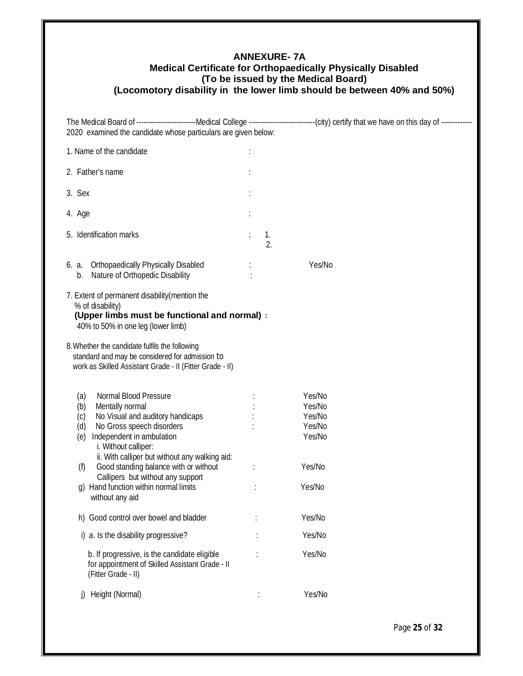## **ANNEXURE- 7A Medical Certificate for Orthopaedically Physically Disabled (To be issued by the Medical Board) (Locomotory disability in the lower limb should be between 40% and 50%)**

The Medical Board of -------------------------Medical College ----------------------------(city) certify that we have on this day of ------------- 2020 examined the candidate whose particulars are given below:

| 1. Name of the candidate                                                                                                                                                                          |                |                                                |  |  |
|---------------------------------------------------------------------------------------------------------------------------------------------------------------------------------------------------|----------------|------------------------------------------------|--|--|
| 2. Father's name                                                                                                                                                                                  |                |                                                |  |  |
| 3. Sex                                                                                                                                                                                            |                |                                                |  |  |
| 4. Age                                                                                                                                                                                            |                |                                                |  |  |
| 5. Identification marks                                                                                                                                                                           | $\ddot{\cdot}$ | 1.<br>$\overline{2}$ .                         |  |  |
| 6. a. Orthopaedically Physically Disabled<br>Nature of Orthopedic Disability<br>$b_{\cdot}$                                                                                                       |                | Yes/No                                         |  |  |
| 7. Extent of permanent disability (mention the<br>% of disability)<br>(Upper limbs must be functional and normal) :<br>40% to 50% in one leg (lower limb)                                         |                |                                                |  |  |
| 8. Whether the candidate fulfils the following<br>standard and may be considered for admission to<br>work as Skilled Assistant Grade - II (Fitter Grade - II)                                     |                |                                                |  |  |
| (a)<br>Normal Blood Pressure<br>(b)<br>Mentally normal<br>No Visual and auditory handicaps<br>(c)<br>No Gross speech disorders<br>(d)<br>Independent in ambulation<br>(e)<br>i. Without calliper: |                | Yes/No<br>Yes/No<br>Yes/No<br>Yes/No<br>Yes/No |  |  |
| ii. With calliper but without any walking aid:<br>Good standing balance with or without<br>(f)<br>Callipers but without any support<br>g) Hand function within normal limits<br>without any aid   | ÷              | Yes/No<br>Yes/No                               |  |  |
| h) Good control over bowel and bladder                                                                                                                                                            |                | Yes/No                                         |  |  |
| i) a. Is the disability progressive?                                                                                                                                                              |                | Yes/No                                         |  |  |
| b. If progressive, is the candidate eligible<br>for appointment of Skilled Assistant Grade - II<br>(Fitter Grade - II)                                                                            |                | Yes/No                                         |  |  |
| Height (Normal)<br>I)                                                                                                                                                                             |                | Yes/No                                         |  |  |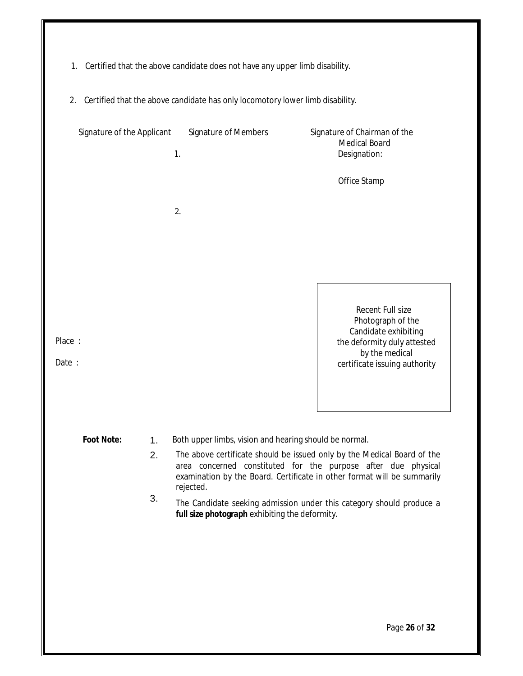- 1. Certified that the above candidate does not have any upper limb disability.
- 2. Certified that the above candidate has only locomotory lower limb disability.

|                                                                                                                                                                                                                                        | Signature of the Applicant          | 1. | <b>Signature of Members</b>                            | Signature of Chairman of the<br><b>Medical Board</b><br>Designation:                                           |
|----------------------------------------------------------------------------------------------------------------------------------------------------------------------------------------------------------------------------------------|-------------------------------------|----|--------------------------------------------------------|----------------------------------------------------------------------------------------------------------------|
|                                                                                                                                                                                                                                        |                                     |    |                                                        | Office Stamp                                                                                                   |
|                                                                                                                                                                                                                                        |                                     | 2. |                                                        |                                                                                                                |
|                                                                                                                                                                                                                                        |                                     |    |                                                        |                                                                                                                |
| Place:                                                                                                                                                                                                                                 |                                     |    |                                                        | Recent Full size<br>Photograph of the<br>Candidate exhibiting<br>the deformity duly attested<br>by the medical |
| Date:                                                                                                                                                                                                                                  |                                     |    |                                                        | certificate issuing authority                                                                                  |
|                                                                                                                                                                                                                                        | <b>Foot Note:</b><br>1 <sub>1</sub> |    | Both upper limbs, vision and hearing should be normal. |                                                                                                                |
| 2.<br>The above certificate should be issued only by the Medical Board of the<br>area concerned constituted for the purpose after due physical<br>examination by the Board. Certificate in other format will be summarily<br>rejected. |                                     |    |                                                        |                                                                                                                |
|                                                                                                                                                                                                                                        | 3.                                  |    | full size photograph exhibiting the deformity.         | The Candidate seeking admission under this category should produce a                                           |
|                                                                                                                                                                                                                                        |                                     |    |                                                        |                                                                                                                |
|                                                                                                                                                                                                                                        |                                     |    |                                                        |                                                                                                                |
|                                                                                                                                                                                                                                        |                                     |    |                                                        | Page 26 of 32                                                                                                  |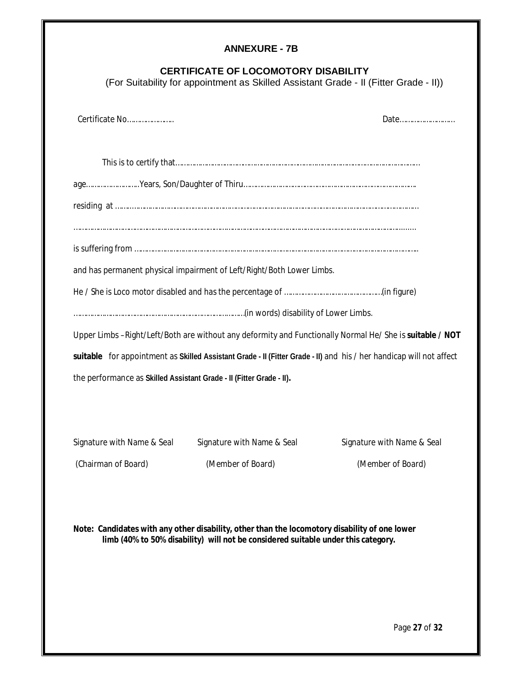## **ANNEXURE - 7B**

## **CERTIFICATE OF LOCOMOTORY DISABILITY**

(For Suitability for appointment as Skilled Assistant Grade - II (Fitter Grade - II))

| Certificate No                                                       |                                                                                                                     | Date                       |  |
|----------------------------------------------------------------------|---------------------------------------------------------------------------------------------------------------------|----------------------------|--|
|                                                                      |                                                                                                                     |                            |  |
|                                                                      |                                                                                                                     |                            |  |
|                                                                      |                                                                                                                     |                            |  |
|                                                                      |                                                                                                                     |                            |  |
|                                                                      |                                                                                                                     |                            |  |
|                                                                      |                                                                                                                     |                            |  |
|                                                                      | and has permanent physical impairment of Left/Right/Both Lower Limbs.                                               |                            |  |
|                                                                      |                                                                                                                     |                            |  |
|                                                                      |                                                                                                                     |                            |  |
|                                                                      | Upper Limbs -Right/Left/Both are without any deformity and Functionally Normal He/ She is suitable / NOT            |                            |  |
|                                                                      | suitable for appointment as Skilled Assistant Grade - II (Fitter Grade - II) and his / her handicap will not affect |                            |  |
| the performance as Skilled Assistant Grade - II (Fitter Grade - II). |                                                                                                                     |                            |  |
|                                                                      |                                                                                                                     |                            |  |
|                                                                      |                                                                                                                     |                            |  |
| Signature with Name & Seal                                           | Signature with Name & Seal                                                                                          | Signature with Name & Seal |  |

(Chairman of Board) (Member of Board) (Member of Board)

**Note: Candidates with any other disability, other than the locomotory disability of one lower limb (40% to 50% disability) will not be considered suitable under this category.**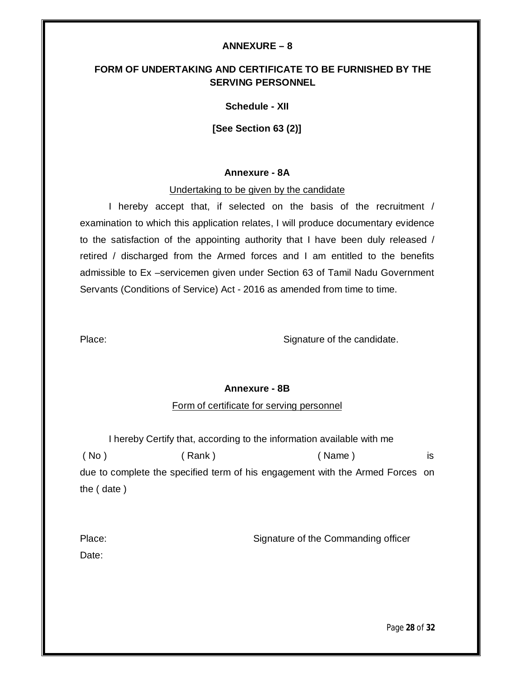#### **ANNEXURE – 8**

## **FORM OF UNDERTAKING AND CERTIFICATE TO BE FURNISHED BY THE SERVING PERSONNEL**

#### **Schedule - XII**

**[See Section 63 (2)]**

#### **Annexure - 8A**

Undertaking to be given by the candidate

I hereby accept that, if selected on the basis of the recruitment / examination to which this application relates, I will produce documentary evidence to the satisfaction of the appointing authority that I have been duly released / retired / discharged from the Armed forces and I am entitled to the benefits admissible to Ex –servicemen given under Section 63 of Tamil Nadu Government Servants (Conditions of Service) Act - 2016 as amended from time to time.

Place: Signature of the candidate.

#### **Annexure - 8B**

#### Form of certificate for serving personnel

I hereby Certify that, according to the information available with me ( No ) ( Rank ) ( Name ) is due to complete the specified term of his engagement with the Armed Forces on the ( date )

| Place: | Signature of the Commanding officer |  |  |
|--------|-------------------------------------|--|--|
| Date:  |                                     |  |  |

Page **28** of **32**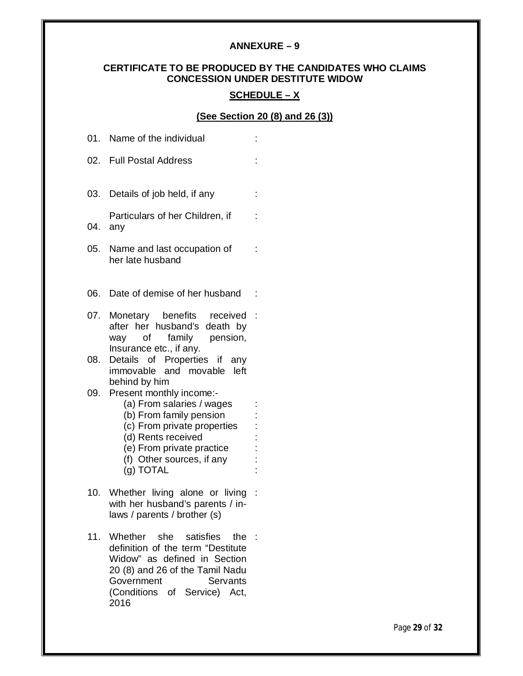## **ANNEXURE – 9**

## **CERTIFICATE TO BE PRODUCED BY THE CANDIDATES WHO CLAIMS CONCESSION UNDER DESTITUTE WIDOW**

## **SCHEDULE – X**

## **(See Section 20 (8) and 26 (3))**

|     | 01. Name of the individual                                                                                                                                                                                       |   |
|-----|------------------------------------------------------------------------------------------------------------------------------------------------------------------------------------------------------------------|---|
|     | 02. Full Postal Address                                                                                                                                                                                          |   |
| 03. | Details of job held, if any                                                                                                                                                                                      | t |
| 04. | Particulars of her Children, if<br>any                                                                                                                                                                           |   |
| 05. | Name and last occupation of<br>her late husband                                                                                                                                                                  |   |
| 06. | Date of demise of her husband                                                                                                                                                                                    | ÷ |
| 07. | Monetary benefits received :<br>after her husband's death by<br>of family pension,<br>way<br>Insurance etc., if any.                                                                                             |   |
| 08. | Details of Properties if<br>any<br>immovable and movable left<br>behind by him                                                                                                                                   |   |
|     | 09. Present monthly income:-<br>(a) From salaries / wages<br>(b) From family pension<br>(c) From private properties<br>(d) Rents received<br>(e) From private practice<br>(f) Other sources, if any<br>(g) TOTAL |   |
| 10. | Whether living alone or living :<br>with her husband's parents / in-<br>laws / parents / brother (s)                                                                                                             |   |
| 11. | Whether she satisfies<br>the :<br>definition of the term "Destitute<br>Widow" as defined in Section<br>20 (8) and 26 of the Tamil Nadu<br>Government<br>Servants<br>(Conditions of Service) Act,<br>2016         |   |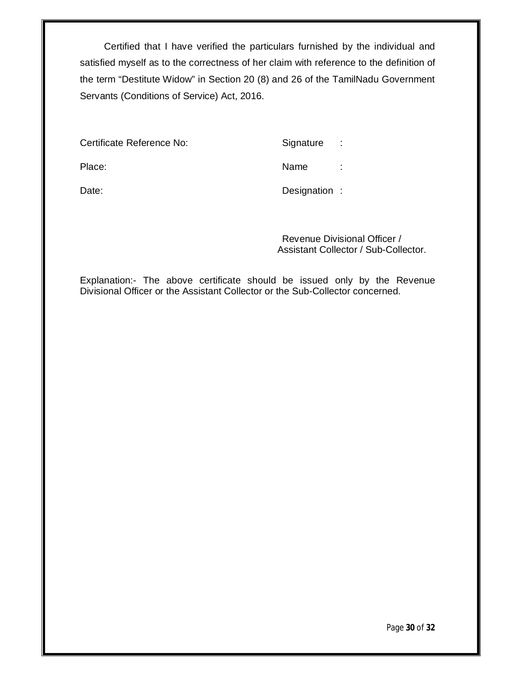Certified that I have verified the particulars furnished by the individual and satisfied myself as to the correctness of her claim with reference to the definition of the term "Destitute Widow" in Section 20 (8) and 26 of the TamilNadu Government Servants (Conditions of Service) Act, 2016.

Certificate Reference No: Signature :

Place: Name : Name : Name : Name : Name : Name : Name : Name : Name : Name : Name : Name : Name : Name : Name :  $\sim$  Name :  $\sim$  Name :  $\sim$  Name :  $\sim$  Name :  $\sim$  Name :  $\sim$  Name :  $\sim$  Name :  $\sim$  Name :  $\sim$  Name :  $\$ 

Date: Date: Designation :

Revenue Divisional Officer / Assistant Collector / Sub-Collector.

Explanation:- The above certificate should be issued only by the Revenue Divisional Officer or the Assistant Collector or the Sub-Collector concerned.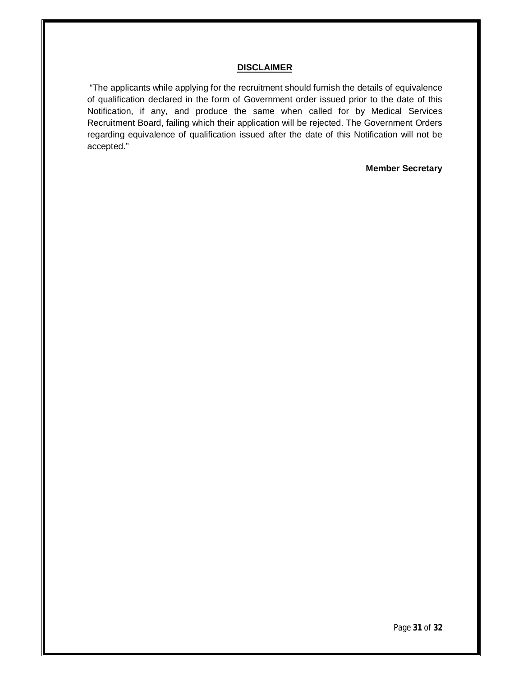#### **DISCLAIMER**

"The applicants while applying for the recruitment should furnish the details of equivalence of qualification declared in the form of Government order issued prior to the date of this Notification, if any, and produce the same when called for by Medical Services Recruitment Board, failing which their application will be rejected. The Government Orders regarding equivalence of qualification issued after the date of this Notification will not be accepted."

#### **Member Secretary**